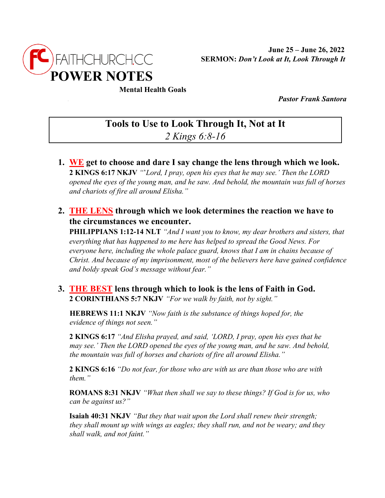

## **Mental Health Goals**

• *Pastor Frank Santora*

## **Tools to Use to Look Through It, Not at It** *2 Kings 6:8-16*

- **1. WE get to choose and dare I say change the lens through which we look. 2 KINGS 6:17 NKJV** *"*'*Lord, I pray, open his eyes that he may see.' Then the LORD opened the eyes of the young man, and he saw. And behold, the mountain was full of horses and chariots of fire all around Elisha."*
- **2. THE LENS through which we look determines the reaction we have to the circumstances we encounter.**

**PHILIPPIANS 1:12-14 NLT** *"And I want you to know, my dear brothers and sisters, that everything that has happened to me here has helped to spread the Good News. For everyone here, including the whole palace guard, knows that I am in chains because of Christ. And because of my imprisonment, most of the believers here have gained confidence and boldy speak God's message without fear."*

## **3. THE BEST lens through which to look is the lens of Faith in God. 2 CORINTHIANS 5:7 NKJV** *"For we walk by faith, not by sight."*

**HEBREWS 11:1 NKJV** *"Now faith is the substance of things hoped for, the evidence of things not seen."*

**2 KINGS 6:17** *"And Elisha prayed, and said, 'LORD, I pray, open his eyes that he may see.' Then the LORD opened the eyes of the young man, and he saw. And behold, the mountain was full of horses and chariots of fire all around Elisha."*

**2 KINGS 6:16** *"Do not fear, for those who are with us are than those who are with them."*

**ROMANS 8:31 NKJV** *"What then shall we say to these things? If God is for us, who can be against us?"*

**Isaiah 40:31 NKJV** *"But they that wait upon the Lord shall renew their strength; they shall mount up with wings as eagles; they shall run, and not be weary; and they shall walk, and not faint."*